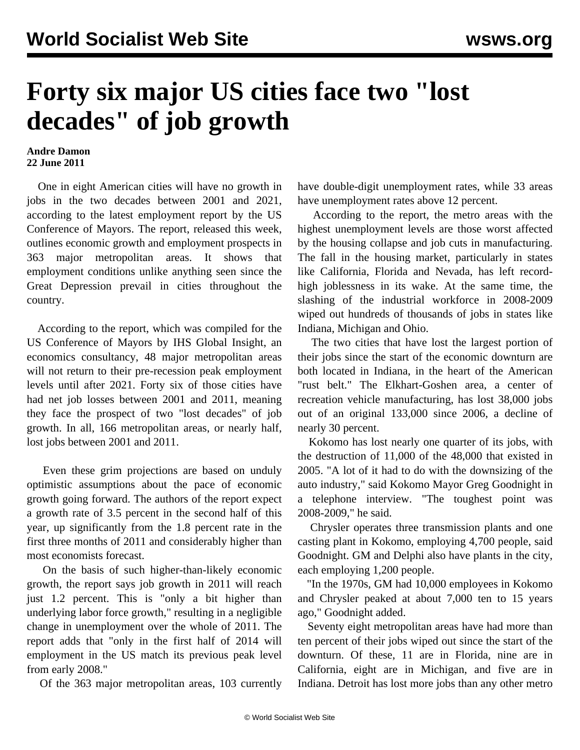## **Forty six major US cities face two "lost decades" of job growth**

## **Andre Damon 22 June 2011**

 One in eight American cities will have no growth in jobs in the two decades between 2001 and 2021, according to the latest employment report by the US Conference of Mayors. The report, released this week, outlines economic growth and employment prospects in 363 major metropolitan areas. It shows that employment conditions unlike anything seen since the Great Depression prevail in cities throughout the country.

 According to the report, which was compiled for the US Conference of Mayors by IHS Global Insight, an economics consultancy, 48 major metropolitan areas will not return to their pre-recession peak employment levels until after 2021. Forty six of those cities have had net job losses between 2001 and 2011, meaning they face the prospect of two "lost decades" of job growth. In all, 166 metropolitan areas, or nearly half, lost jobs between 2001 and 2011.

 Even these grim projections are based on unduly optimistic assumptions about the pace of economic growth going forward. The authors of the report expect a growth rate of 3.5 percent in the second half of this year, up significantly from the 1.8 percent rate in the first three months of 2011 and considerably higher than most economists forecast.

 On the basis of such higher-than-likely economic growth, the report says job growth in 2011 will reach just 1.2 percent. This is "only a bit higher than underlying labor force growth," resulting in a negligible change in unemployment over the whole of 2011. The report adds that "only in the first half of 2014 will employment in the US match its previous peak level from early 2008."

Of the 363 major metropolitan areas, 103 currently

have double-digit unemployment rates, while 33 areas have unemployment rates above 12 percent.

 According to the report, the metro areas with the highest unemployment levels are those worst affected by the housing collapse and job cuts in manufacturing. The fall in the housing market, particularly in states like California, Florida and Nevada, has left recordhigh joblessness in its wake. At the same time, the slashing of the industrial workforce in 2008-2009 wiped out hundreds of thousands of jobs in states like Indiana, Michigan and Ohio.

 The two cities that have lost the largest portion of their jobs since the start of the economic downturn are both located in Indiana, in the heart of the American "rust belt." The Elkhart-Goshen area, a center of recreation vehicle manufacturing, has lost 38,000 jobs out of an original 133,000 since 2006, a decline of nearly 30 percent.

 Kokomo has lost nearly one quarter of its jobs, with the destruction of 11,000 of the 48,000 that existed in 2005. "A lot of it had to do with the downsizing of the auto industry," said Kokomo Mayor Greg Goodnight in a telephone interview. "The toughest point was 2008-2009," he said.

 Chrysler operates three transmission plants and one casting plant in Kokomo, employing 4,700 people, said Goodnight. GM and Delphi also have plants in the city, each employing 1,200 people.

 "In the 1970s, GM had 10,000 employees in Kokomo and Chrysler peaked at about 7,000 ten to 15 years ago," Goodnight added.

 Seventy eight metropolitan areas have had more than ten percent of their jobs wiped out since the start of the downturn. Of these, 11 are in Florida, nine are in California, eight are in Michigan, and five are in Indiana. Detroit has lost more jobs than any other metro